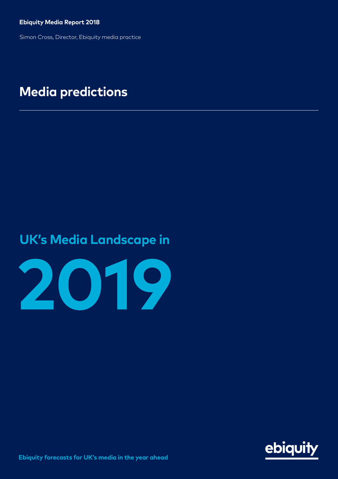**Ebiquity Media Report 2018**

Simon Cross, Director, Ebiquity media practice

### **Media predictions**

### **UK's Media Landscape in**



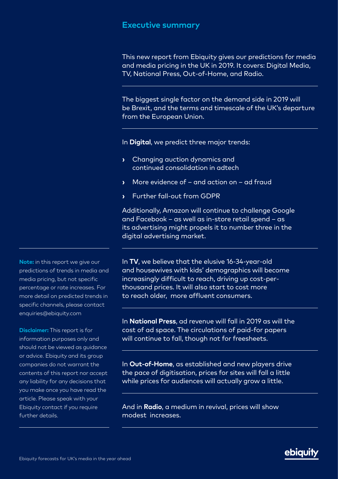#### **Executive summary**

 $\overline{a}$ 

 $\overline{a}$ 

 $\overline{a}$ 

 $\overline{a}$ 

 $\overline{a}$ 

 $\overline{a}$ 

 $\overline{a}$ 

This new report from Ebiquity gives our predictions for media and media pricing in the UK in 2019. It covers: Digital Media, TV, National Press, Out-of-Home, and Radio.

The biggest single factor on the demand side in 2019 will be Brexit, and the terms and timescale of the UK's departure from the European Union.

In **Digital**, we predict three major trends:

- Changing auction dynamics and continued consolidation in adtech
- More evidence of and action on ad fraud
- Further fall-out from GDPR

Additionally, Amazon will continue to challenge Google and Facebook – as well as in-store retail spend – as its advertising might propels it to number three in the digital advertising market.

In **TV**, we believe that the elusive 16-34-year-old and housewives with kids' demographics will become increasingly difficult to reach, driving up cost-perthousand prices. It will also start to cost more to reach older, more affluent consumers.

In **National Press**, ad revenue will fall in 2019 as will the cost of ad space. The circulations of paid-for papers will continue to fall, though not for freesheets.

In **Out-of-Home**, as established and new players drive the pace of digitisation, prices for sites will fall a little while prices for audiences will actually grow a little.

And in **Radio**, a medium in revival, prices will show modest increases.

**Note:** in this report we give our predictions of trends in media and media pricing, but not specific percentage or rate increases. For more detail on predicted trends in specific channels, please contact enquiries@ebiquity.com

 $\overline{a}$ 

 $\overline{a}$ 

**Disclaimer:** This report is for information purposes only and should not be viewed as auidance or advice. Ebiquity and its group companies do not warrant the contents of this report nor accept any liability for any decisions that you make once you have read the article. Please speak with your Ebiquity contact if you require further details.



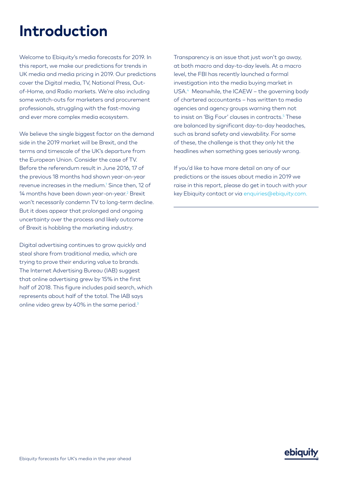# **Introduction**

Welcome to Ebiquity's media forecasts for 2019. In this report, we make our predictions for trends in UK media and media pricing in 2019. Our predictions cover the Digital media, TV, National Press, Outof-Home, and Radio markets. We're also including some watch-outs for marketers and procurement professionals, struggling with the fast-moving and ever more complex media ecosystem.

We believe the single biggest factor on the demand side in the 2019 market will be Brexit, and the terms and timescale of the UK's departure from the European Union. Consider the case of TV. Before the referendum result in June 2016, 17 of the previous 18 months had shown year-on-year revenue increases in the medium.1 Since then, 12 of 14 months have been down year-on-year.<sup>2</sup> Brexit won't necessarily condemn TV to long-term decline. But it does appear that prolonged and ongoing uncertainty over the process and likely outcome of Brexit is hobbling the marketing industry.

Digital advertising continues to grow quickly and steal share from traditional media, which are trying to prove their enduring value to brands. The Internet Advertising Bureau (IAB) suggest that online advertising grew by 15% in the first half of 2018. This figure includes paid search, which represents about half of the total. The IAB says online video grew by 40% in the same period.<sup>3</sup>

Transparency is an issue that just won't go away, at both macro and day-to-day levels. At a macro level, the FBI has recently launched a formal investigation into the media buying market in USA.<sup>4</sup> Meanwhile, the ICAEW - the governing body of chartered accountants – has written to media agencies and agency groups warning them not to insist on 'Big Four' clauses in contracts.5 These are balanced by significant day-to-day headaches, such as brand safety and viewability. For some of these, the challenge is that they only hit the headlines when something goes seriously wrong.

If you'd like to have more detail on any of our predictions or the issues about media in 2019 we raise in this report, please do get in touch with your key Ebiquity contact or via [enquiries@ebiquity.com.](mailto:enquiries%40ebiquity.com?subject=)

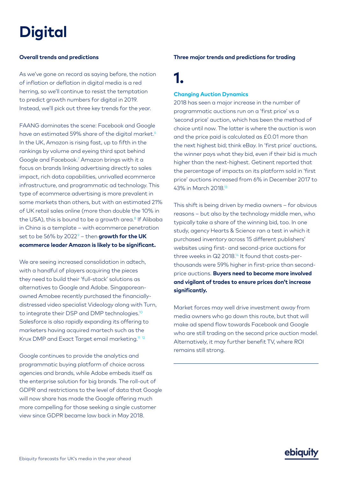# **Digital**

#### **Overall trends and predictions**

As we've gone on record as saying before, the notion of inflation or deflation in digital media is a red herring, so we'll continue to resist the temptation to predict growth numbers for digital in 2019. Instead, we'll pick out three key trends for the year.

FAANG dominates the scene: Facebook and Google have an estimated 59% share of the digital market.<sup>6</sup> In the UK, Amazon is rising fast, up to fifth in the rankings by volume and eyeing third spot behind Google and Facebook.<sup>7</sup> Amazon brings with it a focus on brands linking advertising directly to sales impact, rich data capabilities, unrivalled ecommerce infrastructure, and programmatic ad technology. This type of ecommerce advertising is more prevalent in some markets than others, but with an estimated 21% of UK retail sales online (more than double the 10% in the USA), this is bound to be a growth area.<sup>8</sup> If Alibaba in China is a template – with ecommerce penetration set to be 56% by 2022<sup>9</sup> – then **growth for the UK ecommerce leader Amazon is likely to be significant.**

We are seeing increased consolidation in adtech, with a handful of players acquiring the pieces they need to build their 'full-stack' solutions as alternatives to Google and Adobe. Singaporeanowned Amobee recently purchased the financiallydistressed video specialist Videology along with Turn, to integrate their DSP and DMP technologies.<sup>10</sup> Salesforce is also rapidly expanding its offering to marketers having acquired martech such as the Krux DMP and Exact Target email marketing.<sup>11 12</sup>

Google continues to provide the analytics and programmatic buying platform of choice across agencies and brands, while Adobe embeds itself as the enterprise solution for big brands. The roll-out of GDPR and restrictions to the level of data that Google will now share has made the Google offering much more compelling for those seeking a single customer view since GDPR became law back in May 2018.

#### **Three major trends and predictions for trading**

### **1.**

#### **Changing Auction Dynamics**

2018 has seen a major increase in the number of programmatic auctions run on a 'first price' vs a 'second price' auction, which has been the method of choice until now. The latter is where the auction is won and the price paid is calculated as £0.01 more than the next highest bid; think eBay. In 'first price' auctions, the winner pays what they bid, even if their bid is much higher than the next-highest. Getinent reported that the percentage of impacts on its platform sold in 'first price' auctions increased from 6% in December 2017 to 43% in March 2018.13

This shift is being driven by media owners – for obvious reasons – but also by the technology middle men, who typically take a share of the winning bid, too. In one study, agency Hearts & Science ran a test in which it purchased inventory across 15 different publishers' websites using first- and second-price auctions for three weeks in  $Q2$  2018.<sup>14</sup> It found that costs-perthousands were 59% higher in first-price than secondprice auctions. **Buyers need to become more involved and vigilant of trades to ensure prices don't increase significantly.**

Market forces may well drive investment away from media owners who go down this route, but that will make ad spend flow towards Facebook and Google who are still trading on the second price auction model. Alternatively, it may further benefit TV, where ROI remains still strong.

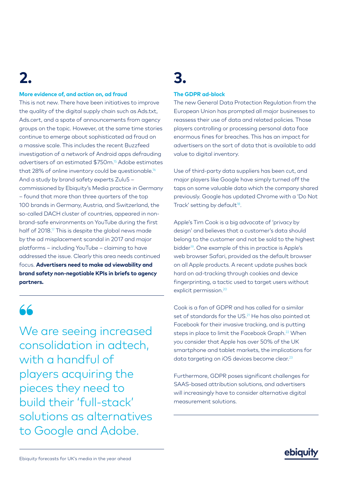# **2.**

#### **More evidence of, and action on, ad fraud**

This is not new. There have been initiatives to improve the quality of the digital supply chain such as Ads.txt, Ads.cert, and a spate of announcements from agency groups on the topic. However, at the same time stories continue to emerge about sophisticated ad fraud on a massive scale. This includes the recent Buzzfeed investigation of a network of Android apps defrauding advertisers of an estimated \$750m.15 Adobe estimates that 28% of online inventory could be questionable.<sup>16</sup> And a study by brand safety experts Zulu5 – commissioned by Ebiquity's Media practice in Germany – found that more than three quarters of the top 100 brands in Germany, Austria, and Switzerland, the so-called DACH cluster of countries, appeared in nonbrand-safe environments on YouTube during the first half of 2018.<sup>17</sup> This is despite the global news made by the ad misplacement scandal in 2017 and major platforms – including YouTube – claiming to have addressed the issue. Clearly this area needs continued focus. **Advertisers need to make ad viewability and brand safety non-negotiable KPIs in briefs to agency partners.** 

### **❝**

We are seeing increased consolidation in adtech, with a handful of players acquiring the pieces they need to build their 'full-stack' solutions as alternatives to Google and Adobe.

### **3.**

#### **The GDPR ad-block**

The new General Data Protection Regulation from the European Union has prompted all major businesses to reassess their use of data and related policies. Those players controlling or processing personal data face enormous fines for breaches. This has an impact for advertisers on the sort of data that is available to add value to digital inventory.

Use of third-party data suppliers has been cut, and major players like Google have simply turned off the taps on some valuable data which the company shared previously. Google has updated Chrome with a 'Do Not Track' setting by default<sup>18</sup>.

Apple's Tim Cook is a big advocate of 'privacy by design' and believes that a customer's data should belong to the customer and not be sold to the highest bidder<sup>19</sup>. One example of this in practice is Apple's web browser Safari, provided as the default browser on all Apple products. A recent update pushes back hard on ad-tracking through cookies and device fingerprinting, a tactic used to target users without explicit permission.<sup>20</sup>

Cook is a fan of GDPR and has called for a similar set of standards for the US.<sup>21</sup> He has also pointed at Facebook for their invasive tracking, and is putting steps in place to limit the Facebook Graph.<sup>22</sup> When you consider that Apple has over 50% of the UK smartphone and tablet markets, the implications for data targeting on iOS devices become clear.<sup>23</sup>

Furthermore, GDPR poses significant challenges for SAAS-based attribution solutions, and advertisers will increasingly have to consider alternative digital measurement solutions.

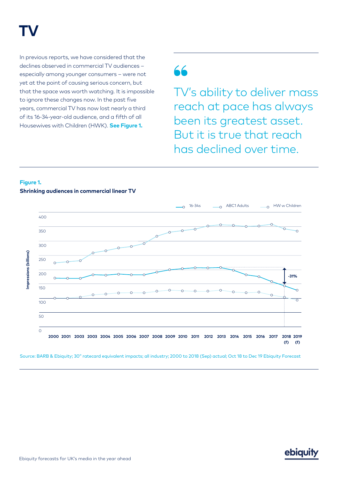# **TV**

In previous reports, we have considered that the declines observed in commercial TV audiences – especially among younger consumers – were not yet at the point of causing serious concern, but that the space was worth watching. It is impossible to ignore these changes now. In the past five years, commercial TV has now lost nearly a third of its 16-34-year-old audience, and a fifth of all Housewives with Children (HWK). **See Figure 1.**

**❝**

TV's ability to deliver mass reach at pace has always been its greatest asset. But it is true that reach has declined over time.

#### **Figure 1. Shrinking audiences in commercial linear TV**



Source: BARB & Ebiquity; 30" ratecard equivalent impacts; all industry; 2000 to 2018 (Sep) actual; Oct 18 to Dec 19 Ebiquity Forecast

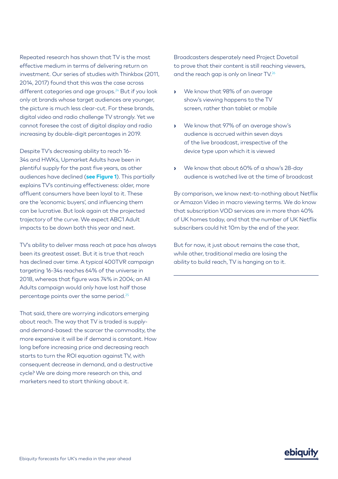Repeated research has shown that TV is the most effective medium in terms of delivering return on investment. Our series of studies with Thinkbox (2011, 2014, 2017) found that this was the case across different categories and age groups.<sup>24</sup> But if you look only at brands whose target audiences are younger, the picture is much less clear-cut. For these brands, digital video and radio challenge TV strongly. Yet we cannot foresee the cost of digital display and radio increasing by double-digit percentages in 2019.

Despite TV's decreasing ability to reach 16- 34s and HWKs, Upmarket Adults have been in plentiful supply for the past five years, as other audiences have declined (**see Figure 1**). This partially explains TV's continuing effectiveness: older, more affluent consumers have been loyal to it. These are the 'economic buyers', and influencing them can be lucrative. But look again at the projected trajectory of the curve. We expect ABC1 Adult impacts to be down both this year and next.

TV's ability to deliver mass reach at pace has always been its greatest asset. But it is true that reach has declined over time. A typical 400TVR campaign targeting 16-34s reaches 64% of the universe in 2018, whereas that figure was 74% in 2004; an All Adults campaign would only have lost half those percentage points over the same period.25

That said, there are worrying indicators emerging about reach. The way that TV is traded is supplyand demand-based: the scarcer the commodity, the more expensive it will be if demand is constant. How long before increasing price and decreasing reach starts to turn the ROI equation against TV, with consequent decrease in demand, and a destructive cycle? We are doing more research on this, and marketers need to start thinking about it.

Broadcasters desperately need Project Dovetail to prove that their content is still reaching viewers, and the reach gap is only on linear TV.26

- We know that 98% of an average show's viewing happens to the TV screen, rather than tablet or mobile
- We know that 97% of an average show's audience is accrued within seven days of the live broadcast, irrespective of the device type upon which it is viewed
- We know that about 60% of a show's 28-day audience is watched live at the time of broadcast

By comparison, we know next-to-nothing about Netflix or Amazon Video in macro viewing terms. We do know that subscription VOD services are in more than 40% of UK homes today, and that the number of UK Netflix subscribers could hit 10m by the end of the year.

But for now, it just about remains the case that, while other, traditional media are losing the ability to build reach, TV is hanging on to it.

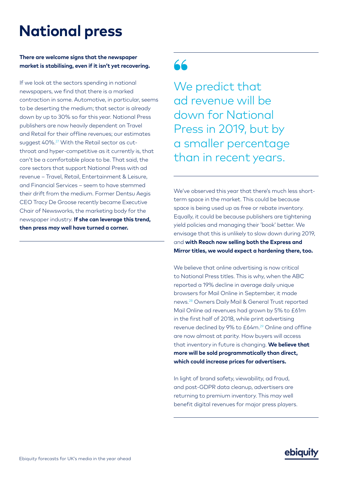# **National press**

#### **There are welcome signs that the newspaper market is stabilising, even if it isn't yet recovering.**

If we look at the sectors spending in national newspapers, we find that there is a marked contraction in some. Automotive, in particular, seems to be deserting the medium; that sector is already down by up to 30% so far this year. National Press publishers are now heavily dependent on Travel and Retail for their offline revenues; our estimates suggest 40%.27 With the Retail sector as cutthroat and hyper-competitive as it currently is, that can't be a comfortable place to be. That said, the core sectors that support National Press with ad revenue – Travel, Retail, Entertainment & Leisure, and Financial Services – seem to have stemmed their drift from the medium. Former Dentsu Aegis CEO Tracy De Groose recently became Executive Chair of Newsworks, the marketing body for the newspaper industry. **If she can leverage this trend, then press may well have turned a corner.**

### **66**

We predict that ad revenue will be down for National Press in 2019, but by a smaller percentage than in recent years.

We've observed this year that there's much less shortterm space in the market. This could be because space is being used up as free or rebate inventory. Equally, it could be because publishers are tightening yield policies and managing their 'book' better. We envisage that this is unlikely to slow down during 2019, and **with Reach now selling both the Express and Mirror titles, we would expect a hardening there, too.**

We believe that online advertising is now critical to National Press titles. This is why, when the ABC reported a 19% decline in average daily unique browsers for Mail Online in September, it made news.28 Owners Daily Mail & General Trust reported Mail Online ad revenues had grown by 5% to £61m in the first half of 2018, while print advertising revenue declined by 9% to £64m.29 Online and offline are now almost at parity. How buyers will access that inventory in future is changing. **We believe that more will be sold programmatically than direct, which could increase prices for advertisers.**

In light of brand safety, viewability, ad fraud, and post-GDPR data cleanup, advertisers are returning to premium inventory. This may well benefit digital revenues for major press players.

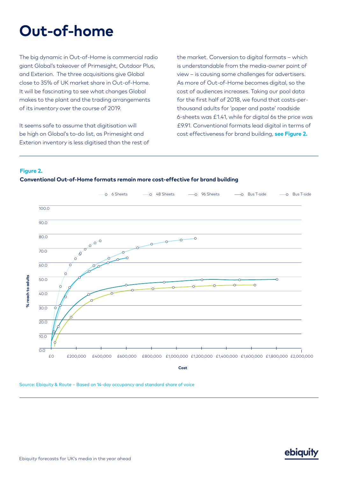# **Out-of-home**

The big dynamic in Out-of-Home is commercial radio giant Global's takeover of Primesight, Outdoor Plus, and Exterion. The three acquisitions give Global close to 35% of UK market share in Out-of-Home. It will be fascinating to see what changes Global makes to the plant and the trading arrangements of its inventory over the course of 2019.

It seems safe to assume that digitisation will be high on Global's to-do list, as Primesight and Exterion inventory is less digitised than the rest of the market. Conversion to digital formats – which is understandable from the media-owner point of view – is causing some challenges for advertisers. As more of Out-of-Home becomes digital, so the cost of audiences increases. Taking our pool data for the first half of 2018, we found that costs-perthousand adults for 'paper and paste' roadside 6-sheets was £1.41, while for digital 6s the price was £9.91. Conventional formats lead digital in terms of cost effectiveness for brand building, **see Figure 2.**

#### **Figure 2.**





Source: Ebiquity & Route – Based on 14-day occupancy and standard share of voice

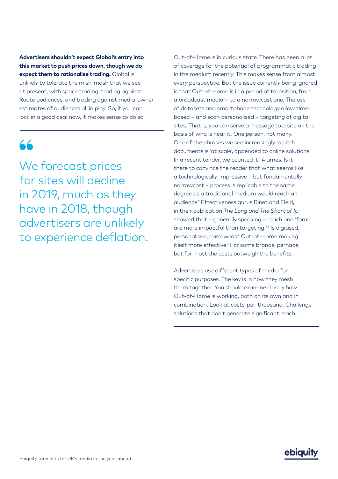**Advertisers shouldn't expect Global's entry into this market to push prices down, though we do expect them to rationalise trading.** Global is unlikely to tolerate the mish-mash that we see at present, with space trading, trading against Route audiences, and trading against media-owner estimates of audiences all in play. So, if you can lock in a good deal now, it makes sense to do so.

### **❝**

We forecast prices for sites will decline in 2019, much as they have in 2018, though advertisers are unlikely to experience deflation.

Out-of-Home is in curious state. There has been a lot of coverage for the potential of programmatic trading in the medium recently. This makes sense from almost every perspective. But the issue currently being ignored is that Out-of-Home is in a period of transition, from a broadcast medium to a narrowcast one. The use of datasets and smartphone technology allow timebased – and soon personalised – targeting of digital sites. That is, you can serve a message to a site on the basis of who is near it. One person, not many. One of the phrases we see increasingly in pitch documents is 'at scale', appended to online solutions. In a recent tender, we counted it 14 times. Is it there to convince the reader that what seems like a technologically-impressive – but fundamentally narrowcast – process is replicable to the same degree as a traditional medium would reach an audience? Effectiveness gurus Binet and Field, in their publication *The Long and The Short of It*, showed that – generally speaking – reach and 'fame' are more impactful than targeting.<sup>32</sup> Is digitised, personalised, narrowcast Out-of-Home making itself more effective? For some brands, perhaps, but for most the costs outweigh the benefits.

Advertisers use different types of media for specific purposes. The key is in how they mesh them together. You should examine closely how Out-of-Home is working, both on its own and in combination. Look at costs-per-thousand. Challenge solutions that don't generate significant reach.

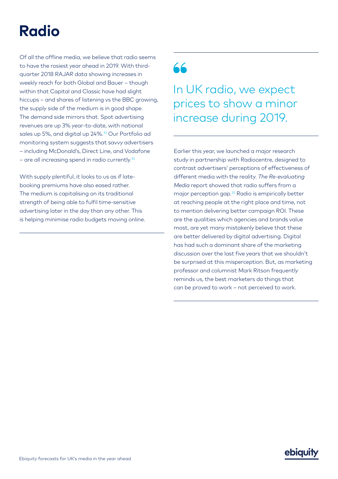# **Radio**

Of all the offline media, we believe that radio seems to have the rosiest year ahead in 2019. With thirdquarter 2018 RAJAR data showing increases in weekly reach for both Global and Bauer – though within that Capital and Classic have had slight hiccups – and shares of listening vs the BBC growing, the supply side of the medium is in good shape. The demand side mirrors that. Spot advertising revenues are up 3% year-to-date, with national sales up 5%, and digital up 24%.<sup>33</sup> Our Portfolio ad monitoring system suggests that savvy advertisers – including McDonald's, Direct Line, and Vodafone – are all increasing spend in radio currently.<sup>34</sup>

With supply plentiful, it looks to us as if latebooking premiums have also eased rather. The medium is capitalising on its traditional strength of being able to fulfil time-sensitive advertising later in the day than any other. This is helping minimise radio budgets moving online.

# **66**

In UK radio, we expect prices to show a minor increase during 2019.

Earlier this year, we launched a major research study in partnership with Radiocentre, designed to contrast advertisers' perceptions of effectiveness of different media with the reality. *The Re-evaluating Media* report showed that radio suffers from a major perception gap.35 Radio is empirically better at reaching people at the right place and time, not to mention delivering better campaign ROI. These are the qualities which agencies and brands value most, are yet many mistakenly believe that these are better delivered by digital advertising. Digital has had such a dominant share of the marketing discussion over the last five years that we shouldn't be surprised at this misperception. But, as marketing professor and columnist Mark Ritson frequently reminds us, the best marketers do things that can be proved to work – not perceived to work.

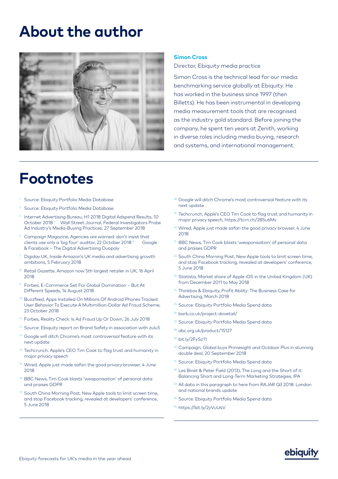### **About the author**



### **Footnotes**

- Source: Ebiquity Portfolio Media Database
- <sup>2</sup> Source: Ebiquity Portfolio Media Database
- Internet Advertising Bureau, H1 2018 Digital Adspend Results, 10 October 2018<sup>4</sup> Wall Street Journal, Federal Investigators Probe Ad Industry's Media-Buying Practices, 27 September 2018
- <sup>5</sup> Campaign Magazine, Agencies are warned: don't insist that clients use only a 'big four' auditor, 22 October 2018 <sup>6</sup> Google & Facebook – The Digital Advertising Duopoly
- Digiday UK, Inside Amazon's UK media and advertising growth ambitions, 5 February 2018
- Retail Gazette, Amazon now 5th largest retailer in UK, 16 April 2018
- <sup>9</sup> Forbes, E-Commerce Set For Global Domination But At Different Speeds, 14 August 2018
- <sup>10</sup> Buzzfeed, Apps Installed On Millions Of Android Phones Tracked User Behavior To Execute A Multimillion-Dollar Ad Fraud Scheme, 23 October 2018
- Forbes, Reality Check: Is Ad Fraud Up Or Down, 26 July 2018
- <sup>12</sup> Source: Ebiquity report on Brand Safety in association with zulu5
- <sup>13</sup> Google will ditch Chrome's most controversial feature with its next update
- <sup>14</sup> Techcrunch, Apple's CEO Tim Cook to flag trust and humanity in major privacy speech
- <sup>15</sup> Wired, Apple just made safari the good privacy browser, 4 June 2018
- <sup>16</sup> BBC News, Tim Cook blasts 'weaponisation' of personal data and praises GDPR
- South China Morning Post, New Apple tools to limit screen time, and stop Facebook tracking, revealed at developers' conference, 5 June 2018

#### **Simon Cross**

Director, Ebiquity media practice

Simon Cross is the technical lead for our media benchmarking service globally at Ebiquity. He has worked in the business since 1997 (then Billetts). He has been instrumental in developing media measurement tools that are recognised as the industry gold standard. Before joining the company, he spent ten years at Zenith, working in diverse roles including media buying, research and systems, and international management.

- <sup>18</sup> Google will ditch Chrome's most controversial feature with its next update
- <sup>19</sup> Techcrunch, Apple's CEO Tim Cook to flag trust and humanity in major privacy speech, https://tcrn.ch/2B5u6Mv
- <sup>20</sup> Wired, Apple just made safari the good privacy browser, 4 June 2018
- <sup>21</sup> BBC News, Tim Cook blasts 'weaponisation' of personal data and praises GDPR
- <sup>22</sup> South China Morning Post, New Apple tools to limit screen time, and stop Facebook tracking, revealed at developers' conference, 5 June 2018
- <sup>23</sup> Statista, Market share of Apple iOS in the United Kingdom (UK) from December 2011 to May 2018
- <sup>24</sup> Thinkbox & Ebiquity, Profit Ability: The Business Case for Advertising, March 2018
- <sup>25</sup> Source: Ebiquity Portfolio Media Spend data
- <sup>26</sup> barb.co.uk/project-dovetail/
- <sup>27</sup> Source: Ebiquity Portfolio Media Spend data
- <sup>28</sup> abc.org.uk/product/15127
- <sup>29</sup> bit.ly/2FySz11
- <sup>30</sup> Campaign, Global buys Primesight and Outdoor Plus in stunning double deal, 20 September 2018
- <sup>31</sup> Source: Ebiquity Portfolio Media Spend data
- <sup>32</sup> Les Binet & Peter Field (2013), The Long and the Short of it: Balancing Short and Long-Term Marketing Strategies, IPA
- <sup>33</sup> All data in this paragraph to here from RAJAR Q3 2018: London and national brands update
- 34 Source: Ebiquity Portfolio Media Spend data
- <sup>35</sup> https://bit.ly/2yVuU4V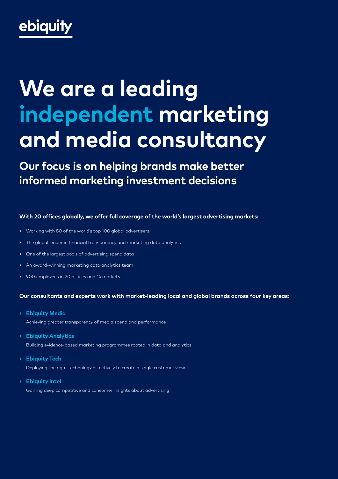# ebiquity

# **We are a leading independent marketing and media consultancy**

**Our focus is on helping brands make better informed marketing investment decisions**

#### **With 20 offices globally, we offer full coverage of the world's largest advertising markets:**

- Working with 80 of the world's top 100 global advertisers
- The global leader in financial transparency and marketing data analytics
- One of the largest pools of advertising spend data
- An award-winning marketing data analytics team
- 900 employees in 20 offices and 14 markets

#### **Our consultants and experts work with market-leading local and global brands across four key areas:**

**• Ebiquity Media**

Achieving greater transparency of media spend and performance

- **Ebiquity Analytics** Building evidence-based marketing programmes rooted in data and analytics
- **• Ebiquity Tech** Deploying the right technology effectively to create a single customer view
- **• Ebiquity Intel** Gaining deep competitive and consumer insights about advertising